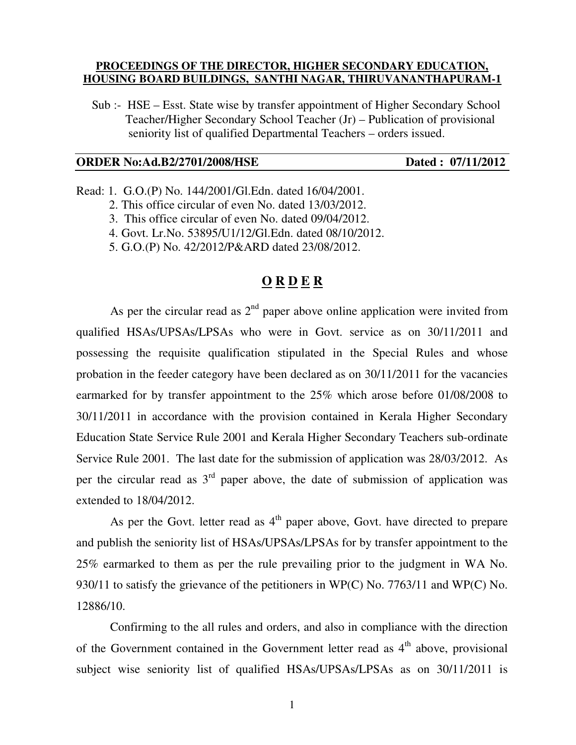### **PROCEEDINGS OF THE DIRECTOR, HIGHER SECONDARY EDUCATION, HOUSING BOARD BUILDINGS, SANTHI NAGAR, THIRUVANANTHAPURAM-1**

 Sub :- HSE – Esst. State wise by transfer appointment of Higher Secondary School Teacher/Higher Secondary School Teacher (Jr) – Publication of provisional seniority list of qualified Departmental Teachers – orders issued.

#### **ORDER No:Ad.B2/2701/2008/HSE** Dated : 07/11/2012

Read: 1. G.O.(P) No. 144/2001/Gl.Edn. dated 16/04/2001.

2. This office circular of even No. dated 13/03/2012.

- 3. This office circular of even No. dated 09/04/2012.
- 4. Govt. Lr.No. 53895/U1/12/Gl.Edn. dated 08/10/2012.

5. G.O.(P) No. 42/2012/P&ARD dated 23/08/2012.

## **O R D E R**

As per the circular read as  $2<sup>nd</sup>$  paper above online application were invited from qualified HSAs/UPSAs/LPSAs who were in Govt. service as on 30/11/2011 and possessing the requisite qualification stipulated in the Special Rules and whose probation in the feeder category have been declared as on 30/11/2011 for the vacancies earmarked for by transfer appointment to the 25% which arose before 01/08/2008 to 30/11/2011 in accordance with the provision contained in Kerala Higher Secondary Education State Service Rule 2001 and Kerala Higher Secondary Teachers sub-ordinate Service Rule 2001. The last date for the submission of application was 28/03/2012. As per the circular read as  $3<sup>rd</sup>$  paper above, the date of submission of application was extended to 18/04/2012.

As per the Govt. letter read as  $4<sup>th</sup>$  paper above, Govt. have directed to prepare and publish the seniority list of HSAs/UPSAs/LPSAs for by transfer appointment to the 25% earmarked to them as per the rule prevailing prior to the judgment in WA No. 930/11 to satisfy the grievance of the petitioners in WP(C) No. 7763/11 and WP(C) No. 12886/10.

 Confirming to the all rules and orders, and also in compliance with the direction of the Government contained in the Government letter read as  $4<sup>th</sup>$  above, provisional subject wise seniority list of qualified HSAs/UPSAs/LPSAs as on 30/11/2011 is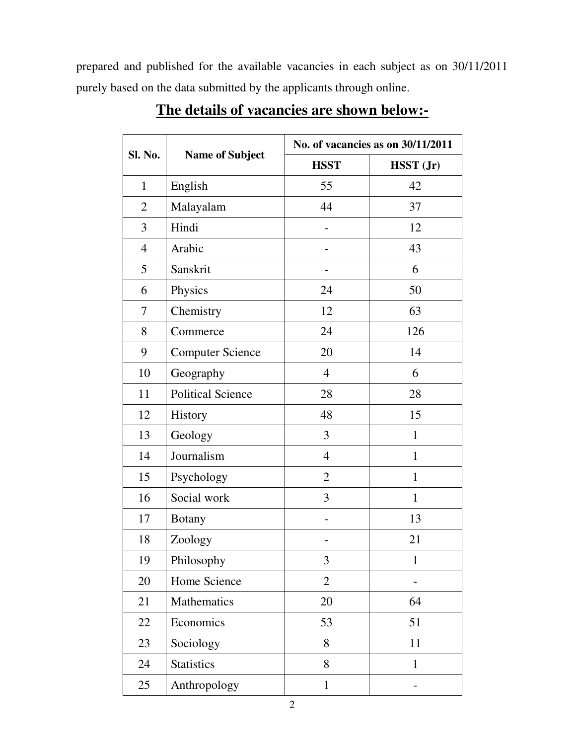prepared and published for the available vacancies in each subject as on 30/11/2011 purely based on the data submitted by the applicants through online.

| Sl. No.        | <b>Name of Subject</b>   | No. of vacancies as on 30/11/2011 |              |
|----------------|--------------------------|-----------------------------------|--------------|
|                |                          | <b>HSST</b>                       | HSST (Jr)    |
| $\mathbf{1}$   | English                  | 55                                | 42           |
| $\overline{2}$ | Malayalam                | 44                                | 37           |
| 3              | Hindi                    |                                   | 12           |
| $\overline{4}$ | Arabic                   |                                   | 43           |
| 5              | Sanskrit                 |                                   | 6            |
| 6              | Physics                  | 24                                | 50           |
| 7              | Chemistry                | 12                                | 63           |
| 8              | Commerce                 | 24                                | 126          |
| 9              | <b>Computer Science</b>  | 20                                | 14           |
| 10             | Geography                | $\overline{4}$                    | 6            |
| 11             | <b>Political Science</b> | 28                                | 28           |
| 12             | History                  | 48                                | 15           |
| 13             | Geology                  | 3                                 | $\mathbf{1}$ |
| 14             | Journalism               | $\overline{4}$                    | $\mathbf{1}$ |
| 15             | Psychology               | $\overline{2}$                    | $\mathbf{1}$ |
| 16             | Social work              | 3                                 | $\mathbf{1}$ |
| 17             | <b>Botany</b>            |                                   | 13           |
| 18             | Zoology                  |                                   | 21           |
| 19             | Philosophy               | 3                                 | $\mathbf{1}$ |
| 20             | Home Science             | $\overline{2}$                    |              |
| 21             | Mathematics              | 20                                | 64           |
| 22             | Economics                | 53                                | 51           |
| 23             | Sociology                | 8                                 | 11           |
| 24             | <b>Statistics</b>        | 8                                 | $\mathbf{1}$ |
| 25             | Anthropology             | $\mathbf{1}$                      |              |

# **The details of vacancies are shown below:-**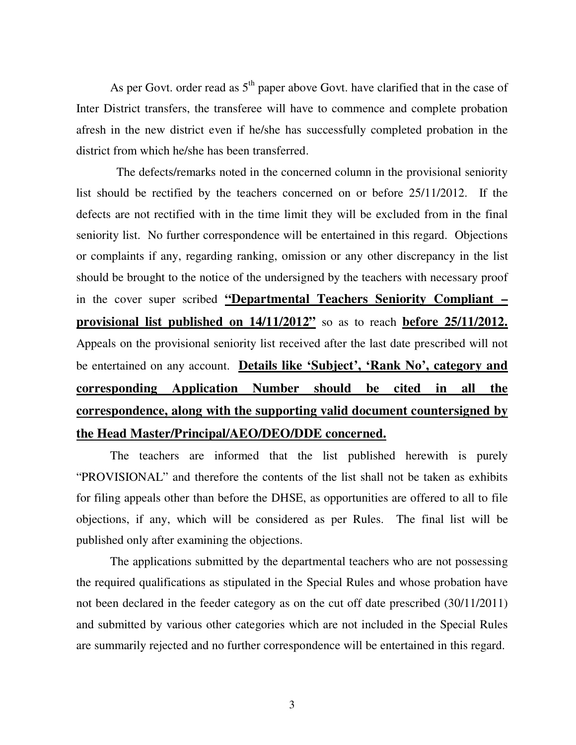As per Govt. order read as  $5<sup>th</sup>$  paper above Govt. have clarified that in the case of Inter District transfers, the transferee will have to commence and complete probation afresh in the new district even if he/she has successfully completed probation in the district from which he/she has been transferred.

 The defects/remarks noted in the concerned column in the provisional seniority list should be rectified by the teachers concerned on or before 25/11/2012. If the defects are not rectified with in the time limit they will be excluded from in the final seniority list. No further correspondence will be entertained in this regard. Objections or complaints if any, regarding ranking, omission or any other discrepancy in the list should be brought to the notice of the undersigned by the teachers with necessary proof in the cover super scribed **"Departmental Teachers Seniority Compliant – provisional list published on 14/11/2012"** so as to reach **before 25/11/2012.** Appeals on the provisional seniority list received after the last date prescribed will not be entertained on any account. **Details like 'Subject', 'Rank No', category and corresponding Application Number should be cited in all the correspondence, along with the supporting valid document countersigned by the Head Master/Principal/AEO/DEO/DDE concerned.** 

 The teachers are informed that the list published herewith is purely "PROVISIONAL" and therefore the contents of the list shall not be taken as exhibits for filing appeals other than before the DHSE, as opportunities are offered to all to file objections, if any, which will be considered as per Rules. The final list will be published only after examining the objections.

 The applications submitted by the departmental teachers who are not possessing the required qualifications as stipulated in the Special Rules and whose probation have not been declared in the feeder category as on the cut off date prescribed (30/11/2011) and submitted by various other categories which are not included in the Special Rules are summarily rejected and no further correspondence will be entertained in this regard.